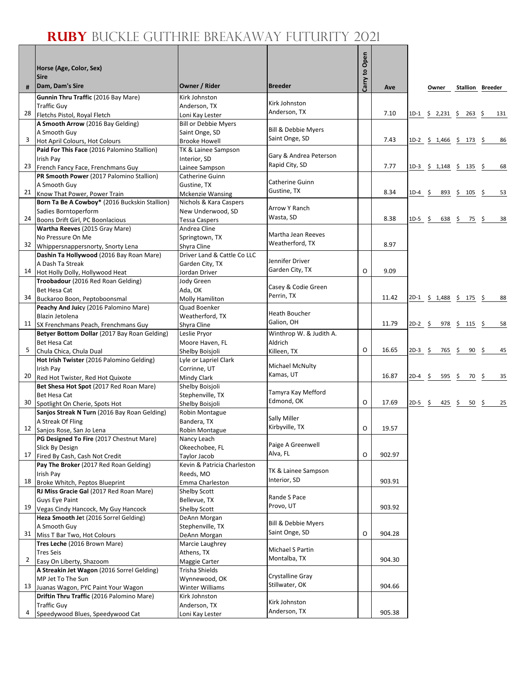## **RUBY** BUCKLE GUTHRIE BREAKAWAY FUTURITY 2021

٦

|              | Horse (Age, Color, Sex)<br><b>Sire</b>                               |                                                |                                       | Carry to Open |        |           |                           |                        |                         |
|--------------|----------------------------------------------------------------------|------------------------------------------------|---------------------------------------|---------------|--------|-----------|---------------------------|------------------------|-------------------------|
| #            | Dam, Dam's Sire                                                      | Owner / Rider                                  | <b>Breeder</b>                        |               | Ave    |           | Owner                     |                        | <b>Stallion Breeder</b> |
|              | Gunnin Thru Traffic (2016 Bay Mare)                                  | Kirk Johnston                                  |                                       |               |        |           |                           |                        |                         |
|              | <b>Traffic Guy</b>                                                   | Anderson, TX                                   | Kirk Johnston                         |               |        |           |                           |                        |                         |
| 28           | Fletchs Pistol, Royal Fletch                                         | Loni Kay Lester                                | Anderson, TX                          |               | 7.10   |           | $1D-1$ \$ 2,231 \$ 263 \$ |                        | 131                     |
|              | A Smooth Arrow (2016 Bay Gelding)                                    | <b>Bill or Debbie Myers</b>                    |                                       |               |        |           |                           |                        |                         |
|              | A Smooth Guy                                                         | Saint Onge, SD                                 | Bill & Debbie Myers<br>Saint Onge, SD |               |        |           |                           |                        |                         |
| 3            | Hot April Colours, Hot Colours                                       | <b>Brooke Howell</b>                           |                                       |               | 7.43   |           | 1D-2 \$ 1,466 \$ 173 \$   |                        | 86                      |
|              | Paid For This Face (2016 Palomino Stallion)<br>Irish Pay             | TK & Lainee Sampson<br>Interior, SD            | Gary & Andrea Peterson                |               |        |           |                           |                        |                         |
| 23           | French Fancy Face, Frenchmans Guy                                    | Lainee Sampson                                 | Rapid City, SD                        |               | 7.77   |           | $1D-3$ \$ 1,148 \$ 135 \$ |                        | 68                      |
|              | PR Smooth Power (2017 Palomino Stallion)                             | Catherine Guinn                                |                                       |               |        |           |                           |                        |                         |
|              | A Smooth Guy                                                         | Gustine, TX                                    | <b>Catherine Guinn</b>                |               |        |           |                           |                        |                         |
|              | 21 Know That Power, Power Train                                      | <b>Mckenzie Wansing</b>                        | Gustine, TX                           |               | 8.34   | $1D-4$ \$ |                           | 893 \$ 105 \$          | 53                      |
|              | Born Ta Be A Cowboy* (2016 Buckskin Stallion)                        | Nichols & Kara Caspers                         |                                       |               |        |           |                           |                        |                         |
|              | Sadies Borntoperform                                                 | New Underwood, SD                              | Arrow Y Ranch                         |               |        |           |                           |                        |                         |
|              | 24 Boons Drift Girl, PC Boonlacious                                  | <b>Tessa Caspers</b>                           | Wasta, SD                             |               | 8.38   | 1D-5 \$   |                           | 638 \$ 75 \$           | 38                      |
|              | Wartha Reeves (2015 Gray Mare)                                       | Andrea Cline                                   | Martha Jean Reeves                    |               |        |           |                           |                        |                         |
|              | No Pressure On Me                                                    | Springtown, TX                                 | Weatherford, TX                       |               | 8.97   |           |                           |                        |                         |
|              | 32 Whippersnappersnorty, Snorty Lena                                 | Shyra Cline                                    |                                       |               |        |           |                           |                        |                         |
|              | Dashin Ta Hollywood (2016 Bay Roan Mare)<br>A Dash Ta Streak         | Driver Land & Cattle Co LLC<br>Garden City, TX | Jennifer Driver                       |               |        |           |                           |                        |                         |
| 14           | Hot Holly Dolly, Hollywood Heat                                      | Jordan Driver                                  | Garden City, TX                       | O             | 9.09   |           |                           |                        |                         |
|              | Troobadour (2016 Red Roan Gelding)                                   | <b>Jody Green</b>                              |                                       |               |        |           |                           |                        |                         |
|              | <b>Bet Hesa Cat</b>                                                  | Ada, OK                                        | Casey & Codie Green                   |               |        |           |                           |                        |                         |
| 34           | Buckaroo Boon, Peptoboonsmal                                         | Molly Hamiliton                                | Perrin, TX                            |               | 11.42  |           | 2D-1 \$ 1,488 \$ 175 \$   |                        | 88                      |
|              | Peachy And Juicy (2016 Palomino Mare)                                | Quad Boenker                                   |                                       |               |        |           |                           |                        |                         |
|              | Blazin Jetolena                                                      | Weatherford, TX                                | Heath Boucher                         |               |        |           |                           |                        |                         |
| 11           | SX Frenchmans Peach, Frenchmans Guy                                  | Shyra Cline                                    | Galion, OH                            |               | 11.79  | $2D-2$ \$ |                           | $978 \div 115 \div$    | 58                      |
|              | Betyer Bottom Dollar (2017 Bay Roan Gelding)                         | Leslie Pryor                                   | Winthrop W. & Judith A.               |               |        |           |                           |                        |                         |
| 5            | <b>Bet Hesa Cat</b>                                                  | Moore Haven, FL                                | Aldrich                               | O             | 16.65  |           |                           |                        | 45                      |
|              | Chula Chica, Chula Dual<br>Hot Irish Twister (2016 Palomino Gelding) | Shelby Boisjoli                                | Killeen, TX                           |               |        | $2D-3$ \$ | 765                       | \$<br>$90 \quad $$     |                         |
|              | Irish Pay                                                            | Lyle or Lapriel Clark<br>Corrinne, UT          | Michael McNulty                       |               |        |           |                           |                        |                         |
| 20           | Red Hot Twister, Red Hot Quixote                                     | Mindy Clark                                    | Kamas, UT                             |               | 16.87  | $2D-4$ \$ | 595                       | -\$<br>70              | 35<br>-\$               |
|              | Bet Shesa Hot Spot (2017 Red Roan Mare)                              | Shelby Boisjoli                                |                                       |               |        |           |                           |                        |                         |
|              | <b>Bet Hesa Cat</b>                                                  | Stephenville, TX                               | Tamyra Kay Mefford                    |               |        |           |                           |                        |                         |
| 30           | Spotlight On Cherie, Spots Hot                                       | Shelby Boisjoli                                | Edmond, OK                            | O             | 17.69  | $2D-5$ \$ |                           | 425 \$<br>$50 \quad $$ | 25                      |
|              | Sanjos Streak N Turn (2016 Bay Roan Gelding)                         | Robin Montague                                 |                                       |               |        |           |                           |                        |                         |
|              | A Streak Of Fling                                                    | Bandera, TX                                    | Sally Miller<br>Kirbyville, TX        |               |        |           |                           |                        |                         |
|              | 12 Sanjos Rose, San Jo Lena                                          | Robin Montague                                 |                                       | O             | 19.57  |           |                           |                        |                         |
|              | PG Designed To Fire (2017 Chestnut Mare)                             | Nancy Leach                                    | Paige A Greenwell                     |               |        |           |                           |                        |                         |
|              | Slick By Design<br>17 Fired By Cash, Cash Not Credit                 | Okeechobee, FL<br>Taylor Jacob                 | Alva, FL                              | O             | 902.97 |           |                           |                        |                         |
|              | Pay The Broker (2017 Red Roan Gelding)                               | Kevin & Patricia Charleston                    |                                       |               |        |           |                           |                        |                         |
|              | Irish Pay                                                            | Reeds, MO                                      | TK & Lainee Sampson                   |               |        |           |                           |                        |                         |
|              | 18 Broke Whitch, Peptos Blueprint                                    | Emma Charleston                                | Interior, SD                          |               | 903.91 |           |                           |                        |                         |
|              | RJ Miss Gracie Gal (2017 Red Roan Mare)                              | Shelby Scott                                   |                                       |               |        |           |                           |                        |                         |
|              | <b>Guys Eye Paint</b>                                                | Bellevue, TX                                   | Rande S Pace                          |               |        |           |                           |                        |                         |
| 19           | Vegas Cindy Hancock, My Guy Hancock                                  | Shelby Scott                                   | Provo, UT                             |               | 903.92 |           |                           |                        |                         |
|              | Heza Smooth Jet (2016 Sorrel Gelding)                                | DeAnn Morgan                                   | Bill & Debbie Myers                   |               |        |           |                           |                        |                         |
|              | A Smooth Guy                                                         | Stephenville, TX                               | Saint Onge, SD                        |               |        |           |                           |                        |                         |
| 31           | Miss T Bar Two, Hot Colours<br>Tres Leche (2016 Brown Mare)          | DeAnn Morgan                                   |                                       | O             | 904.28 |           |                           |                        |                         |
|              | <b>Tres Seis</b>                                                     | Marcie Laughrey<br>Athens, TX                  | Michael S Partin                      |               |        |           |                           |                        |                         |
| $\mathbf{2}$ | Easy On Liberty, Shazoom                                             | Maggie Carter                                  | Montalba, TX                          |               | 904.30 |           |                           |                        |                         |
|              | A Streakin Jet Wagon (2016 Sorrel Gelding)                           | Trisha Shields                                 |                                       |               |        |           |                           |                        |                         |
|              | MP Jet To The Sun                                                    | Wynnewood, OK                                  | Crystalline Gray                      |               |        |           |                           |                        |                         |
| 13           | Juanas Wagon, PYC Paint Your Wagon                                   | Winter Williams                                | Stillwater, OK                        |               | 904.66 |           |                           |                        |                         |
|              | Driftin Thru Traffic (2016 Palomino Mare)                            | Kirk Johnston                                  |                                       |               |        |           |                           |                        |                         |
|              | <b>Traffic Guy</b>                                                   | Anderson, TX                                   | Kirk Johnston                         |               |        |           |                           |                        |                         |
|              | Speedywood Blues, Speedywood Cat                                     | Loni Kay Lester                                | Anderson, TX                          |               | 905.38 |           |                           |                        |                         |